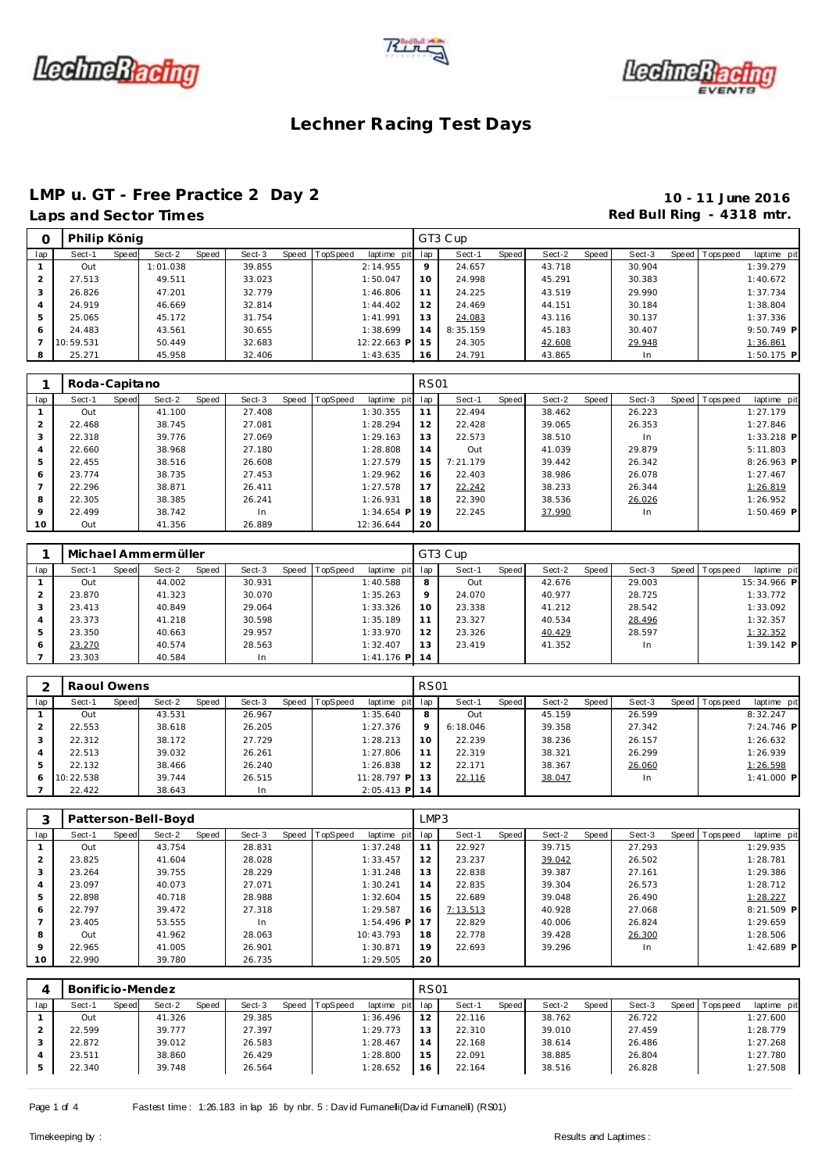





### **Lechner Racing Test Days**

## **LMP u. GT - Free Practice 2 Day 2 10 - 11 June 2016**

# Laps and Sector Times **Red Bull Ring - 4318 mtr. Red Bull Ring - 4318 mtr.**

|     | Philip König |       |          |       |        |       |          |                 |    | GT3 Cup  |         |        |       |        |                |              |
|-----|--------------|-------|----------|-------|--------|-------|----------|-----------------|----|----------|---------|--------|-------|--------|----------------|--------------|
| lap | Sect-1       | Speed | Sect-2   | Speed | Sect-3 | Speed | TopSpeed | laptime pit lap |    | Sect-1   | Speed I | Sect-2 | Speed | Sect-3 | Speed Topspeed | laptime pit  |
|     | Out          |       | 1:01.038 |       | 39.855 |       |          | 2:14.955        | 9  | 24.657   |         | 43.718 |       | 30.904 |                | 1:39.279     |
|     | 27.513       |       | 49.511   |       | 33.023 |       |          | 1:50.047        | 10 | 24.998   |         | 45.291 |       | 30.383 |                | 1:40.672     |
|     | 26.826       |       | 47.201   |       | 32.779 |       |          | 1:46.806        | 11 | 24.225   |         | 43.519 |       | 29.990 |                | 1:37.734     |
|     | 24.919       |       | 46.669   |       | 32.814 |       |          | 1:44.402        | 12 | 24.469   |         | 44.151 |       | 30.184 |                | 1:38.804     |
| 5   | 25.065       |       | 45.172   |       | 31.754 |       |          | 1:41.991        | 13 | 24.083   |         | 43.116 |       | 30.137 |                | 1:37.336     |
| 6   | 24.483       |       | 43.561   |       | 30.655 |       |          | 1:38.699        | 14 | 8:35.159 |         | 45.183 |       | 30.407 |                | $9:50.749$ P |
|     | 10:59.531    |       | 50.449   |       | 32.683 |       |          | 12:22.663 P     | 15 | 24.305   |         | 42.608 |       | 29.948 |                | 1:36.861     |
| 8   | 25.271       |       | 45.958   |       | 32.406 |       |          | 1:43.635        | 16 | 24.791   |         | 43.865 |       | In     |                | $1:50.175$ P |
|     |              |       |          |       |        |       |          |                 |    |          |         |        |       |        |                |              |

|         | Roda-Capitano |       |        |       |        |                |              | <b>RS01</b> |          |       |        |       |        |                |              |  |
|---------|---------------|-------|--------|-------|--------|----------------|--------------|-------------|----------|-------|--------|-------|--------|----------------|--------------|--|
| lap     | Sect-1        | Speed | Sect-2 | Speed | Sect-3 | Speed TopSpeed | laptime pit  | lap         | Sect-1   | Speed | Sect-2 | Speed | Sect-3 | Speed Topspeed | laptime pit  |  |
|         | Out           |       | 41.100 |       | 27.408 |                | 1:30.355     | 11          | 22.494   |       | 38.462 |       | 26.223 |                | 1:27.179     |  |
| 2       | 22.468        |       | 38.745 |       | 27.081 |                | 1:28.294     | 12          | 22.428   |       | 39.065 |       | 26.353 |                | 1:27.846     |  |
| 3       | 22.318        |       | 39.776 |       | 27.069 |                | 1:29.163     | 13          | 22.573   |       | 38.510 |       | In.    |                | $1:33.218$ P |  |
| 4       | 22.660        |       | 38.968 |       | 27.180 |                | 1:28.808     | 14          | Out      |       | 41.039 |       | 29.879 |                | 5:11.803     |  |
| 5       | 22.455        |       | 38.516 |       | 26.608 |                | 1:27.579     | 15          | 7:21.179 |       | 39.442 |       | 26.342 |                | 8:26.963 P   |  |
| 6       | 23.774        |       | 38.735 |       | 27.453 |                | 1:29.962     | 16          | 22.403   |       | 38.986 |       | 26.078 |                | 1:27.467     |  |
|         | 22.296        |       | 38.871 |       | 26.411 |                | 1:27.578     | 17          | 22.242   |       | 38.233 |       | 26.344 |                | 1:26.819     |  |
| 8       | 22.305        |       | 38.385 |       | 26.241 |                | 1:26.931     | 18          | 22.390   |       | 38.536 |       | 26.026 |                | 1:26.952     |  |
| $\circ$ | 22.499        |       | 38.742 |       | In     |                | $1:34.654$ P | 19          | 22.245   |       | 37.990 |       | In     |                | $1:50.469$ P |  |
| 10      | Out           |       | 41.356 |       | 26.889 |                | 12:36.644    | 20          |          |       |        |       |        |                |              |  |

|     |        |       | Michael Ammermüller |       |        |       |                 |             |         | GT3 Cup |       |        |       |        |                 |              |  |
|-----|--------|-------|---------------------|-------|--------|-------|-----------------|-------------|---------|---------|-------|--------|-------|--------|-----------------|--------------|--|
| lap | Sect-1 | Speed | Sect-2              | Speed | Sect-3 | Speed | <b>TopSpeed</b> | laptime pit | lap     | Sect-1  | Speed | Sect-2 | Speed | Sect-3 | Speed Tops peed | laptime pit  |  |
|     | Out    |       | 44.002              |       | 30.931 |       |                 | 1:40.588    | 8       | Out     |       | 42.676 |       | 29.003 |                 | 15:34.966 P  |  |
|     | 23.870 |       | 41.323              |       | 30.070 |       |                 | 1:35.263    | $\circ$ | 24.070  |       | 40.977 |       | 28.725 |                 | 1:33.772     |  |
|     | 23.413 |       | 40.849              |       | 29.064 |       |                 | 1:33.326    | 10      | 23.338  |       | 41.212 |       | 28.542 |                 | 1:33.092     |  |
|     | 23.373 |       | 41.218              |       | 30.598 |       |                 | 1:35.189    | 11      | 23.327  |       | 40.534 |       | 28.496 |                 | 1:32.357     |  |
|     | 23.350 |       | 40.663              |       | 29.957 |       |                 | 1:33.970    | 12      | 23.326  |       | 40.429 |       | 28.597 |                 | 1:32.352     |  |
| 6   | 23.270 |       | 40.574              |       | 28.563 |       |                 | 1:32.407    | 13      | 23.419  |       | 41.352 |       | In     |                 | $1:39.142$ P |  |
|     | 23.303 |       | 40.584              |       | In     |       |                 | 1:41.176 PI | 14      |         |       |        |       |        |                 |              |  |

|     | Raoul Owens |       |        |       |        |       |          |                 | <b>RS01</b> |          |       |        |       |        |                |             |
|-----|-------------|-------|--------|-------|--------|-------|----------|-----------------|-------------|----------|-------|--------|-------|--------|----------------|-------------|
| lap | Sect-1      | Speed | Sect-2 | Speed | Sect-3 | Speed | TopSpeed | laptime pit     | lap         | Sect-1   | Speed | Sect-2 | Speed | Sect-3 | Speed Topspeed | laptime pit |
|     | Out         |       | 43.531 |       | 26.967 |       |          | 1:35.640        | 8           | Out      |       | 45.159 |       | 26.599 |                | 8:32.247    |
|     | 22.553      |       | 38.618 |       | 26.205 |       |          | 1:27.376        | 9           | 6:18.046 |       | 39.358 |       | 27.342 |                | 7:24.746 P  |
| 3   | 22.312      |       | 38.172 |       | 27.729 |       |          | 1:28.213        | 10          | 22.239   |       | 38.236 |       | 26.157 |                | 1:26.632    |
| 4   | 22.513      |       | 39.032 |       | 26.261 |       |          | 1:27.806        | 11          | 22.319   |       | 38.321 |       | 26.299 |                | 1:26.939    |
| 5   | 22.132      |       | 38.466 |       | 26.240 |       |          | 1:26.838        | 12          | 22.171   |       | 38.367 |       | 26.060 |                | 1:26.598    |
| 6   | 10:22.538   |       | 39.744 |       | 26.515 |       |          | $11:28.797$ P   | 13          | 22.116   |       | 38.047 |       | In.    |                | 1:41.000 P  |
|     | 22.422      |       | 38.643 |       | In     |       |          | $2:05.413$ P 14 |             |          |       |        |       |        |                |             |

|                 |        |       | Patterson-Bell-Boyd |       |        |                |              | LMP3 |          |       |        |       |        |                |              |
|-----------------|--------|-------|---------------------|-------|--------|----------------|--------------|------|----------|-------|--------|-------|--------|----------------|--------------|
| lap             | Sect-1 | Speed | Sect-2              | Speed | Sect-3 | Speed TopSpeed | laptime pit  | lap  | Sect-1   | Speed | Sect-2 | Speed | Sect-3 | Speed Topspeed | laptime pit  |
|                 | Out    |       | 43.754              |       | 28.831 |                | 1:37.248     | 11   | 22.927   |       | 39.715 |       | 27.293 |                | 1:29.935     |
| $\overline{2}$  | 23.825 |       | 41.604              |       | 28.028 |                | 1:33.457     | 12   | 23.237   |       | 39.042 |       | 26.502 |                | 1:28.781     |
| 3               | 23.264 |       | 39.755              |       | 28.229 |                | 1:31.248     | 13   | 22.838   |       | 39.387 |       | 27.161 |                | 1:29.386     |
| 4               | 23.097 |       | 40.073              |       | 27.071 |                | 1:30.241     | 14   | 22.835   |       | 39.304 |       | 26.573 |                | 1:28.712     |
| 5               | 22.898 |       | 40.718              |       | 28.988 |                | 1:32.604     | 15   | 22.689   |       | 39.048 |       | 26.490 |                | 1:28.227     |
| 6               | 22.797 |       | 39.472              |       | 27.318 |                | 1:29.587     | 16   | 7:13.513 |       | 40.928 |       | 27.068 |                | $8:21.509$ P |
|                 | 23.405 |       | 53.555              |       | In     |                | $1:54.496$ P | 17   | 22.829   |       | 40.006 |       | 26.824 |                | 1:29.659     |
| 8               | Out    |       | 41.962              |       | 28.063 |                | 10:43.793    | 18   | 22.778   |       | 39.428 |       | 26.300 |                | 1:28.506     |
| 9               | 22.965 |       | 41.005              |       | 26.901 |                | 1:30.871     | 19   | 22.693   |       | 39.296 |       | In.    |                | $1:42.689$ P |
| 10 <sup>°</sup> | 22.990 |       | 39.780              |       | 26.735 |                | 1:29.505     | 20   |          |       |        |       |        |                |              |

|     | Bonificio-Mendez |       |        |       |        |       |                 |             | <b>RS01</b>    |        |       |        |       |        |              |            |             |
|-----|------------------|-------|--------|-------|--------|-------|-----------------|-------------|----------------|--------|-------|--------|-------|--------|--------------|------------|-------------|
| lap | Sect-1           | Speed | Sect-2 | Speed | Sect-3 | Speed | <b>TopSpeed</b> | laptime pit | lap            | Sect-1 | Speed | Sect-2 | Speed | Sect-3 | <b>Speed</b> | Tops pee d | laptime pit |
|     | Out              |       | 41.326 |       | 29.385 |       |                 | 1:36.496    | 2              | 22.116 |       | 38.762 |       | 26.722 |              |            | 1:27.600    |
|     | 22.599           |       | 39.777 |       | 27.397 |       |                 | 1:29.773    | 3              | 22.310 |       | 39.010 |       | 27.459 |              |            | 1:28.779    |
|     | 22.872           |       | 39.012 |       | 26.583 |       |                 | 1:28.467    | $\overline{4}$ | 22.168 |       | 38.614 |       | 26.486 |              |            | 1:27.268    |
|     | 23.511           |       | 38.860 |       | 26.429 |       |                 | 1:28.800    | 15             | 22.091 |       | 38.885 |       | 26.804 |              |            | 1:27.780    |
|     | 22.340           |       | 39.748 |       | 26.564 |       |                 | 1:28.652    | 16             | 22.164 |       | 38.516 |       | 26.828 |              |            | 1:27.508    |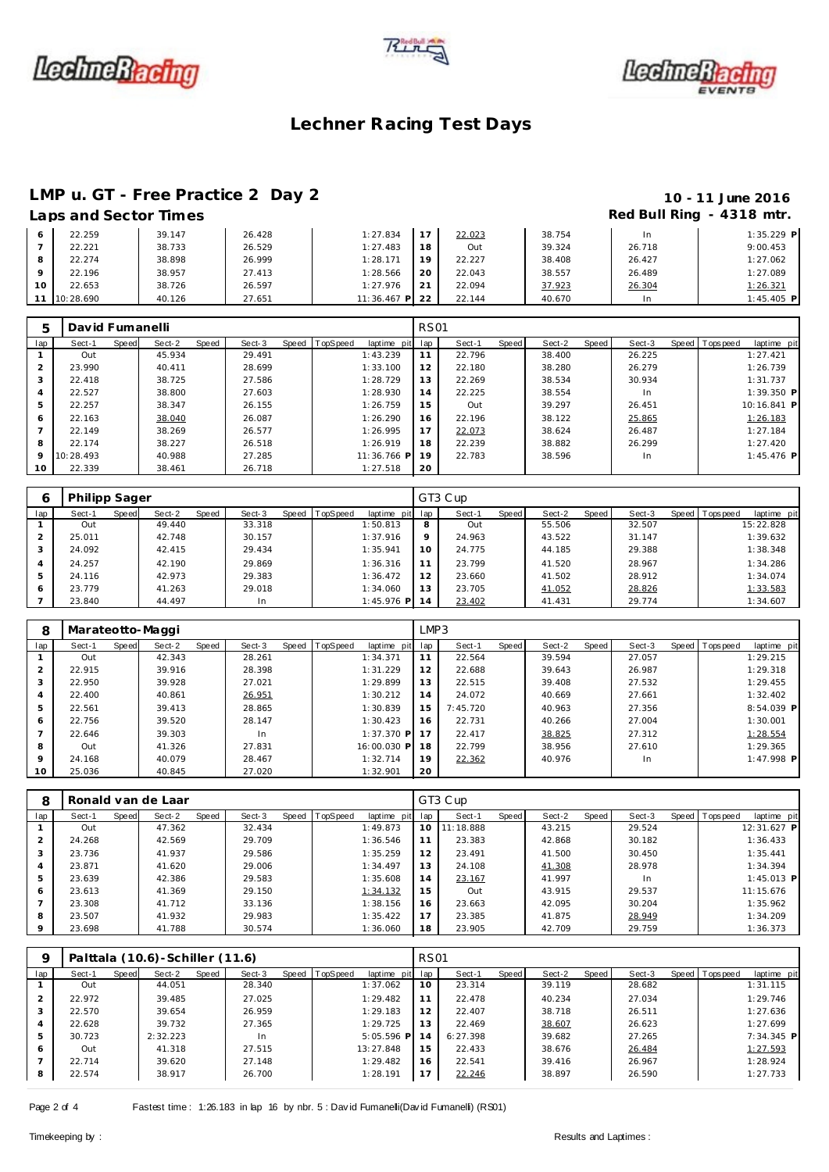





### **Lechner Racing Test Days**

### **LMP u. GT - Free Practice 2 Day 2 10 - 11 June 2016**

### **Laps and Sector Times Red Bull Ring - 4318 mtr.**

#### 22.259 39.147 26.428 1:27.834 22.221 38.733 26.529 1:27.483 22.274 1:28.898 26.999 1:28.171 **9** 22.196 38.957 27.413 1:28.566<br>10 22.653 38.726 26.597 1:27.976 22.653 38.726 26.597 1:27.976 10:28.690 40.126 27.651 11:36.467 **P** 17 22.023 38.754 In 1:35.229 P<br>18 Out 39.324 26.718 9:00.453 Out 39.324 26.718 9:00.453 22.227 38.408 26.427 1:27.062 20 22.043 38.557 26.489 1:27.089<br>21 22.094 37.923 26.304 1:26.321 22.094 37.923 26.304 1:26.321 22.144 40.670 In 1:45.405 **P**

| $\mathbf b$    | David Fumanelli |       |        |       |        |                |             | <b>RS01</b> |        |       |        |       |        |                |              |  |
|----------------|-----------------|-------|--------|-------|--------|----------------|-------------|-------------|--------|-------|--------|-------|--------|----------------|--------------|--|
| lap            | Sect-1          | Speed | Sect-2 | Speed | Sect-3 | Speed TopSpeed | laptime pit | lap         | Sect-1 | Speed | Sect-2 | Speed | Sect-3 | Speed Topspeed | laptime pit  |  |
|                | Out             |       | 45.934 |       | 29.491 |                | 1:43.239    | 11          | 22.796 |       | 38.400 |       | 26.225 |                | 1:27.421     |  |
| $\mathcal{P}$  | 23.990          |       | 40.411 |       | 28.699 |                | 1:33.100    | 12          | 22.180 |       | 38.280 |       | 26.279 |                | 1:26.739     |  |
| 3              | 22.418          |       | 38.725 |       | 27.586 |                | 1:28.729    | 13          | 22.269 |       | 38.534 |       | 30.934 |                | 1:31.737     |  |
| $\overline{4}$ | 22.527          |       | 38,800 |       | 27.603 |                | 1:28.930    | 14          | 22.225 |       | 38.554 |       | In     |                | $1:39.350$ P |  |
| 5              | 22.257          |       | 38.347 |       | 26.155 |                | 1:26.759    | 15          | Out    |       | 39.297 |       | 26.451 |                | 10:16.841 P  |  |
| 6              | 22.163          |       | 38.040 |       | 26.087 |                | 1:26.290    | 16          | 22.196 |       | 38.122 |       | 25.865 |                | 1:26.183     |  |
|                | 22.149          |       | 38.269 |       | 26.577 |                | 1:26.995    | 17          | 22.073 |       | 38.624 |       | 26.487 |                | 1:27.184     |  |
| 8              | 22.174          |       | 38.227 |       | 26.518 |                | 1:26.919    | 18          | 22.239 |       | 38.882 |       | 26.299 |                | 1:27.420     |  |
| 9              | 10:28.493       |       | 40.988 |       | 27.285 |                | 11:36.766 P | 19          | 22.783 |       | 38.596 |       | In.    |                | $1:45.476$ P |  |
| 10             | 22.339          |       | 38.461 |       | 26.718 |                | 1:27.518    | 20          |        |       |        |       |        |                |              |  |

|     | <b>Philipp Sager</b> |       |        |       |        |                |              |     | GT3 Cup |       |        |       |        |                 |             |
|-----|----------------------|-------|--------|-------|--------|----------------|--------------|-----|---------|-------|--------|-------|--------|-----------------|-------------|
| lap | Sect-1               | Speed | Sect-2 | Speed | Sect-3 | Speed TopSpeed | laptime pit  | lap | Sect-1  | Speed | Sect-2 | Speed | Sect-3 | Speed Tops peed | laptime pit |
|     | Out                  |       | 49.440 |       | 33.318 |                | 1:50.813     | 8   | Out     |       | 55.506 |       | 32.507 |                 | 15:22.828   |
|     | 25.011               |       | 42.748 |       | 30.157 |                | 1:37.916     | 9   | 24.963  |       | 43.522 |       | 31.147 |                 | 1:39.632    |
| 3   | 24.092               |       | 42.415 |       | 29.434 |                | 1:35.941     | 10  | 24.775  |       | 44.185 |       | 29.388 |                 | 1:38.348    |
| 4   | 24.257               |       | 42.190 |       | 29.869 |                | 1:36.316     |     | 23.799  |       | 41.520 |       | 28.967 |                 | 1:34.286    |
| 5   | 24.116               |       | 42.973 |       | 29.383 |                | 1:36.472     | 12  | 23.660  |       | 41.502 |       | 28.912 |                 | 1:34.074    |
| 6   | 23.779               |       | 41.263 |       | 29.018 |                | 1:34.060     | 13  | 23.705  |       | 41.052 |       | 28.826 |                 | 1:33.583    |
|     | 23.840               |       | 44.497 |       | In.    |                | $1:45.976$ P | 14  | 23.402  |       | 41.431 |       | 29.774 |                 | 1:34.607    |

| 8               | Marateotto-Maggi |       |        |       |        |                |              | LMP3 |          |       |        |       |        |                  |              |
|-----------------|------------------|-------|--------|-------|--------|----------------|--------------|------|----------|-------|--------|-------|--------|------------------|--------------|
| lap             | Sect-1           | Speed | Sect-2 | Speed | Sect-3 | Speed TopSpeed | laptime pit  | lap  | Sect-1   | Speed | Sect-2 | Speed | Sect-3 | Speed   Topspeed | laptime pit  |
|                 | Out              |       | 42.343 |       | 28.261 |                | 1:34.371     | 11   | 22.564   |       | 39.594 |       | 27.057 |                  | 1:29.215     |
| $\overline{2}$  | 22.915           |       | 39.916 |       | 28.398 |                | 1:31.229     | 12   | 22.688   |       | 39.643 |       | 26.987 |                  | 1:29.318     |
| 3               | 22.950           |       | 39.928 |       | 27.021 |                | 1:29.899     | 13   | 22.515   |       | 39.408 |       | 27.532 |                  | 1:29.455     |
| 4               | 22.400           |       | 40.861 |       | 26.951 |                | 1:30.212     | 14   | 24.072   |       | 40.669 |       | 27.661 |                  | 1:32.402     |
| 5               | 22.561           |       | 39.413 |       | 28.865 |                | 1:30.839     | 15   | 7:45.720 |       | 40.963 |       | 27.356 |                  | 8:54.039 P   |
| 6               | 22.756           |       | 39.520 |       | 28.147 |                | 1:30.423     | 16   | 22.731   |       | 40.266 |       | 27.004 |                  | 1:30.001     |
|                 | 22.646           |       | 39.303 |       | In     |                | $1:37.370$ P | 17   | 22.417   |       | 38.825 |       | 27.312 |                  | 1:28.554     |
| 8               | Out              |       | 41.326 |       | 27.831 |                | 16:00.030 P  | 18   | 22.799   |       | 38.956 |       | 27.610 |                  | 1:29.365     |
| 9               | 24.168           |       | 40.079 |       | 28.467 |                | 1:32.714     | 19   | 22.362   |       | 40.976 |       | In.    |                  | $1:47.998$ P |
| 10 <sup>°</sup> | 25.036           |       | 40.845 |       | 27.020 |                | 1:32.901     | 20   |          |       |        |       |        |                  |              |

| 8              |        |       | Ronald van de Laar |       |        |                  |             |     | GT3 Cup   |       |        |       |        |                |              |  |
|----------------|--------|-------|--------------------|-------|--------|------------------|-------------|-----|-----------|-------|--------|-------|--------|----------------|--------------|--|
| lap            | Sect-1 | Speed | Sect-2             | Speed | Sect-3 | Speed   TopSpeed | laptime pit | lap | Sect-1    | Speed | Sect-2 | Speed | Sect-3 | Speed Topspeed | laptime pit  |  |
|                | Out    |       | 47.362             |       | 32.434 |                  | 1:49.873    | 10  | 11:18.888 |       | 43.215 |       | 29.524 |                | 12:31.627 P  |  |
|                | 24.268 |       | 42.569             |       | 29.709 |                  | 1:36.546    | 11  | 23.383    |       | 42.868 |       | 30.182 |                | 1:36.433     |  |
| 3              | 23.736 |       | 41.937             |       | 29.586 |                  | 1:35.259    | 12  | 23.491    |       | 41.500 |       | 30.450 |                | 1:35.441     |  |
| $\overline{4}$ | 23.871 |       | 41.620             |       | 29.006 |                  | 1:34.497    | 13  | 24.108    |       | 41.308 |       | 28.978 |                | 1:34.394     |  |
| 5              | 23.639 |       | 42.386             |       | 29.583 |                  | 1:35.608    | 14  | 23.167    |       | 41.997 |       | In     |                | $1:45.013$ P |  |
| 6              | 23.613 |       | 41.369             |       | 29.150 |                  | 1:34.132    | 15  | Out       |       | 43.915 |       | 29.537 |                | 11:15.676    |  |
|                | 23.308 |       | 41.712             |       | 33.136 |                  | 1:38.156    | 16  | 23.663    |       | 42.095 |       | 30.204 |                | 1:35.962     |  |
| 8              | 23.507 |       | 41.932             |       | 29.983 |                  | 1:35.422    | 17  | 23.385    |       | 41.875 |       | 28.949 |                | 1:34.209     |  |
| $\circ$        | 23.698 |       | 41.788             |       | 30.574 |                  | 1:36.060    | 18  | 23.905    |       | 42.709 |       | 29.759 |                | 1:36.373     |  |

| Q   |        |       | Palttala (10.6) - Schiller (11.6) |       |        |                |              | <b>RS01</b>     |          |       |        |       |        |                |              |
|-----|--------|-------|-----------------------------------|-------|--------|----------------|--------------|-----------------|----------|-------|--------|-------|--------|----------------|--------------|
| lap | Sect-1 | Speed | Sect-2                            | Speed | Sect-3 | Speed TopSpeed | laptime pit  | lap             | Sect-1   | Speed | Sect-2 | Speed | Sect-3 | Speed Topspeed | laptime pit  |
|     | Out    |       | 44.051                            |       | 28.340 |                | 1:37.062     | 10 <sup>°</sup> | 23.314   |       | 39.119 |       | 28.682 |                | 1:31.115     |
|     | 22.972 |       | 39.485                            |       | 27.025 |                | 1:29.482     | 11              | 22.478   |       | 40.234 |       | 27.034 |                | 1:29.746     |
| 3   | 22.570 |       | 39.654                            |       | 26.959 |                | 1:29.183     | 12              | 22.407   |       | 38.718 |       | 26.511 |                | 1:27.636     |
| 4   | 22.628 |       | 39.732                            |       | 27.365 |                | 1:29.725     | 13              | 22.469   |       | 38.607 |       | 26.623 |                | 1:27.699     |
| 5   | 30.723 |       | 2:32.223                          |       | In     |                | $5:05.596$ P | 14              | 6:27.398 |       | 39.682 |       | 27.265 |                | $7:34.345$ P |
| 6   | Out    |       | 41.318                            |       | 27.515 |                | 13:27.848    | 15              | 22.433   |       | 38.676 |       | 26.484 |                | 1:27.593     |
|     | 22.714 |       | 39.620                            |       | 27.148 |                | 1:29.482     | 16              | 22.541   |       | 39.416 |       | 26.967 |                | 1:28.924     |
| 8   | 22.574 |       | 38.917                            |       | 26.700 |                | 1:28.191     | 17              | 22.246   |       | 38.897 |       | 26.590 |                | 1:27.733     |

Page 2 of 4 Fastest time : 1:26.183 in lap 16 by nbr. 5 : David Fumanelli (David Fumanelli) (RS01)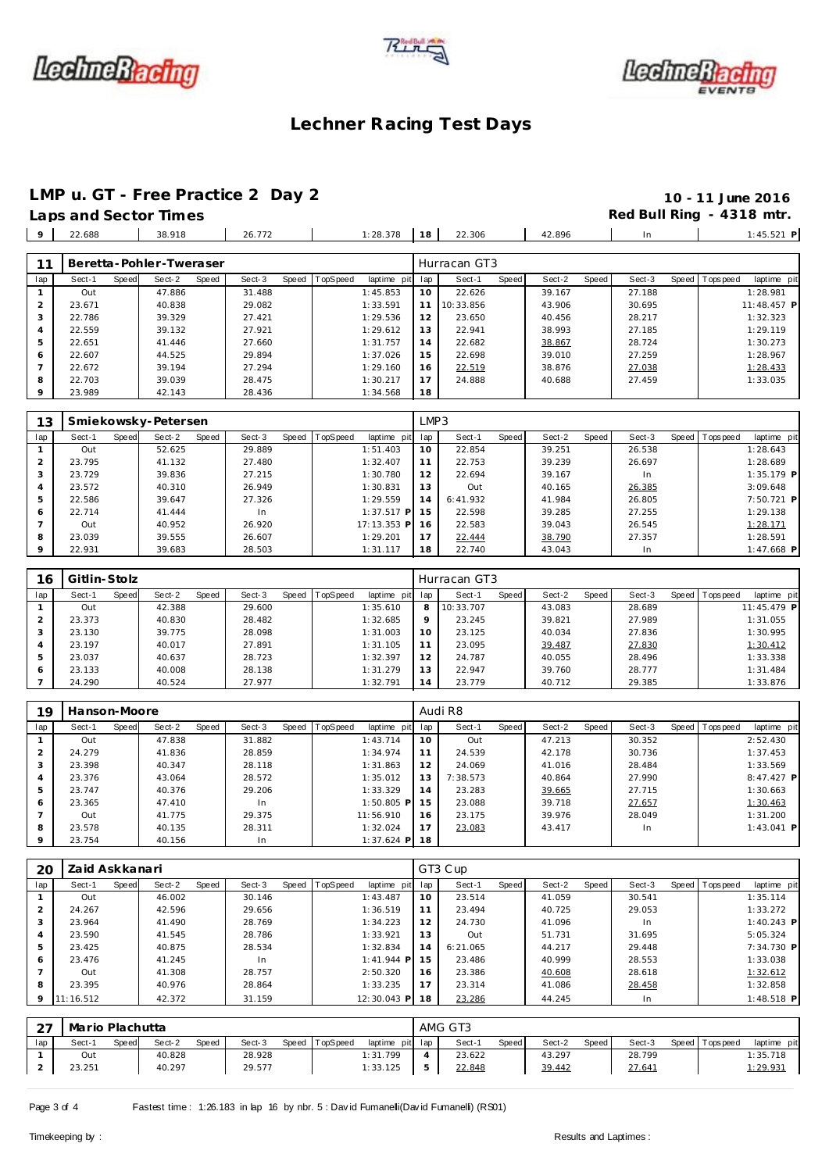





### **Lechner Racing Test Days**

# **LMP u. GT - Free Practice 2 Day 2 10 - 11 June 2016**

| Laps and Sector Times |        |        |                      |  |        | Red Bull Ring - 4318 mtr. |
|-----------------------|--------|--------|----------------------|--|--------|---------------------------|
| $9 \mid 22.688$       | 38.918 | 26.772 | $1:28.378$ 18 22.306 |  | 42.896 | $1:45.521$ F              |

|     |        |       | Beretta-Pohler-Tweraser |       |        |       |          |          |         | Hurracan GT3 |       |        |       |        |                |             |
|-----|--------|-------|-------------------------|-------|--------|-------|----------|----------|---------|--------------|-------|--------|-------|--------|----------------|-------------|
| lap | Sect-1 | Speed | Sect-2                  | Speed | Sect-3 | Speed | TopSpeed | laptime  | pit lap | Sect-1       | Speed | Sect-2 | Speed | Sect-3 | Speed Topspeed | laptime pit |
|     | Out    |       | 47.886                  |       | 31.488 |       |          | 1:45.853 | 10      | 22.626       |       | 39.167 |       | 27.188 |                | 1:28.981    |
|     | 23.671 |       | 40.838                  |       | 29.082 |       |          | 1:33.591 | 11      | 10:33.856    |       | 43.906 |       | 30.695 |                | 11:48.457 P |
|     | 22.786 |       | 39.329                  |       | 27.421 |       |          | 1:29.536 | 12      | 23.650       |       | 40.456 |       | 28.217 |                | 1:32.323    |
|     | 22.559 |       | 39.132                  |       | 27.921 |       |          | 1:29.612 | 13      | 22.941       |       | 38.993 |       | 27.185 |                | 1:29.119    |
|     | 22.651 |       | 41.446                  |       | 27.660 |       |          | 1:31.757 | 14      | 22.682       |       | 38.867 |       | 28.724 |                | 1:30.273    |
| 6   | 22.607 |       | 44.525                  |       | 29.894 |       |          | 1:37.026 | 15      | 22.698       |       | 39.010 |       | 27.259 |                | 1:28.967    |
|     | 22.672 |       | 39.194                  |       | 27.294 |       |          | 1:29.160 | 16      | 22.519       |       | 38.876 |       | 27.038 |                | 1:28.433    |
| 8   | 22.703 |       | 39.039                  |       | 28.475 |       |          | 1:30.217 | 17      | 24.888       |       | 40.688 |       | 27.459 |                | 1:33.035    |
|     | 23.989 |       | 42.143                  |       | 28.436 |       |          | 1:34.568 | 18      |              |       |        |       |        |                |             |

| 13      |        |       | Smiekowsky-Petersen |       |        |       |          |                 | LMP3 |           |       |        |       |        |       |           |              |  |
|---------|--------|-------|---------------------|-------|--------|-------|----------|-----------------|------|-----------|-------|--------|-------|--------|-------|-----------|--------------|--|
| lap     | Sect-1 | Speed | Sect-2              | Speed | Sect-3 | Speed | TopSpeed | laptime<br>pitl | lap  | Sect-1    | Speed | Sect-2 | Speed | Sect-3 | Speed | Tops peed | laptime pit  |  |
|         | Out    |       | 52.625              |       | 29.889 |       |          | 1:51.403        | 10   | 22.854    |       | 39.251 |       | 26.538 |       |           | 1:28.643     |  |
| 2       | 23.795 |       | 41.132              |       | 27.480 |       |          | 1:32.407        | 11   | 22.753    |       | 39.239 |       | 26.697 |       |           | 1:28.689     |  |
| 3       | 23.729 |       | 39.836              |       | 27.215 |       |          | 1:30.780        | 12   | 22.694    |       | 39.167 |       | In.    |       |           | 1:35.179 P   |  |
| 4       | 23.572 |       | 40.310              |       | 26.949 |       |          | 1:30.831        | 13   | Out       |       | 40.165 |       | 26.385 |       |           | 3:09.648     |  |
| 5       | 22.586 |       | 39.647              |       | 27.326 |       |          | 1:29.559        | 14   | 6: 41.932 |       | 41.984 |       | 26.805 |       |           | 7:50.721 P   |  |
| 6       | 22.714 |       | 41.444              |       | In     |       |          | $1:37.517$ P    | 15   | 22.598    |       | 39.285 |       | 27.255 |       |           | 1:29.138     |  |
|         | Out    |       | 40.952              |       | 26.920 |       |          | 17:13.353 P     | 16   | 22.583    |       | 39.043 |       | 26.545 |       |           | 1:28.171     |  |
| 8       | 23.039 |       | 39.555              |       | 26.607 |       |          | 1:29.201        | 17   | 22.444    |       | 38.790 |       | 27.357 |       |           | 1:28.591     |  |
| $\circ$ | 22.931 |       | 39.683              |       | 28.503 |       |          | 1:31.117        | 18   | 22.740    |       | 43.043 |       | In     |       |           | $1:47.668$ P |  |

| 16  | Gitlin-Stolz |       |        |       |        |       |                 |             |         | Hurracan GT3 |       |        |       |        |                |             |
|-----|--------------|-------|--------|-------|--------|-------|-----------------|-------------|---------|--------------|-------|--------|-------|--------|----------------|-------------|
| lap | Sect-1       | Speed | Sect-2 | Speed | Sect-3 | Speed | <b>TopSpeed</b> | laptime pit | lap     | Sect-1       | Speed | Sect-2 | Speed | Sect-3 | Speed Topspeed | laptime pit |
|     | Out          |       | 42.388 |       | 29.600 |       |                 | 1:35.610    | 8       | 10:33.707    |       | 43.083 |       | 28.689 |                | 11:45.479 P |
|     | 23.373       |       | 40.830 |       | 28.482 |       |                 | 1:32.685    | $\circ$ | 23.245       |       | 39.821 |       | 27.989 |                | 1:31.055    |
|     | 23.130       |       | 39.775 |       | 28.098 |       |                 | 1:31.003    | 10      | 23.125       |       | 40.034 |       | 27.836 |                | 1:30.995    |
|     | 23.197       |       | 40.017 |       | 27.891 |       |                 | 1:31.105    |         | 23.095       |       | 39.487 |       | 27.830 |                | 1:30.412    |
| 5   | 23.037       |       | 40.637 |       | 28.723 |       |                 | 1:32.397    | 12      | 24.787       |       | 40.055 |       | 28.496 |                | 1:33.338    |
| 6   | 23.133       |       | 40.008 |       | 28.138 |       |                 | 1:31.279    | 13      | 22.947       |       | 39.760 |       | 28.777 |                | 1:31.484    |
|     | 24.290       |       | 40.524 |       | 27.977 |       |                 | 1:32.791    | 14      | 23.779       |       | 40.712 |       | 29.385 |                | 1:33.876    |

| 19             | Hanson-Moore |       |        |       |        |                |              |     | Audi R8  |       |        |       |        |                |              |
|----------------|--------------|-------|--------|-------|--------|----------------|--------------|-----|----------|-------|--------|-------|--------|----------------|--------------|
| lap            | Sect-1       | Speed | Sect-2 | Speed | Sect-3 | Speed TopSpeed | laptime pit  | lap | Sect-1   | Speed | Sect-2 | Speed | Sect-3 | Speed Topspeed | laptime pit  |
|                | Out          |       | 47.838 |       | 31.882 |                | 1:43.714     | 10  | Out      |       | 47.213 |       | 30.352 |                | 2:52.430     |
| $\overline{2}$ | 24.279       |       | 41.836 |       | 28.859 |                | 1:34.974     | 11  | 24.539   |       | 42.178 |       | 30.736 |                | 1:37.453     |
| 3              | 23.398       |       | 40.347 |       | 28.118 |                | 1:31.863     | 12  | 24.069   |       | 41.016 |       | 28.484 |                | 1:33.569     |
| 4              | 23.376       |       | 43.064 |       | 28.572 |                | 1:35.012     | 13  | 7:38.573 |       | 40.864 |       | 27.990 |                | $8:47.427$ P |
| 5              | 23.747       |       | 40.376 |       | 29.206 |                | 1:33.329     | 14  | 23.283   |       | 39.665 |       | 27.715 |                | 1:30.663     |
| 6              | 23.365       |       | 47.410 |       | In     |                | $1:50.805$ P | 15  | 23.088   |       | 39.718 |       | 27.657 |                | 1:30.463     |
|                | Out          |       | 41.775 |       | 29.375 |                | 11:56.910    | 16  | 23.175   |       | 39.976 |       | 28.049 |                | 1:31.200     |
| 8              | 23.578       |       | 40.135 |       | 28.311 |                | 1:32.024     | 17  | 23.083   |       | 43.417 |       | In.    |                | $1:43.041$ P |
| $\circ$        | 23.754       |       | 40.156 |       | In     |                | $1:37.624$ P | -18 |          |       |        |       |        |                |              |

| 20  | Zaid Askkanari |       |        |       |        |       |          |              |     | GT3 Cup  |       |        |       |        |         |            |              |  |
|-----|----------------|-------|--------|-------|--------|-------|----------|--------------|-----|----------|-------|--------|-------|--------|---------|------------|--------------|--|
| lap | Sect-1         | Speed | Sect-2 | Speed | Sect-3 | Speed | TopSpeed | laptime pit  | lap | Sect-1   | Speed | Sect-2 | Speed | Sect-3 | Speed I | T ops peed | laptime pit  |  |
|     | Out            |       | 46.002 |       | 30.146 |       |          | 1:43.487     | 10  | 23.514   |       | 41.059 |       | 30.541 |         |            | 1:35.114     |  |
|     | 24.267         |       | 42.596 |       | 29.656 |       |          | 1:36.519     | 11  | 23.494   |       | 40.725 |       | 29.053 |         |            | 1:33.272     |  |
|     | 23.964         |       | 41.490 |       | 28.769 |       |          | 1:34.223     | 12  | 24.730   |       | 41.096 |       | In     |         |            | $1:40.243$ P |  |
|     | 23.590         |       | 41.545 |       | 28.786 |       |          | 1:33.921     | 13  | Out      |       | 51.731 |       | 31.695 |         |            | 5:05.324     |  |
|     | 23.425         |       | 40.875 |       | 28.534 |       |          | 1:32.834     | 14  | 6:21.065 |       | 44.217 |       | 29.448 |         |            | 7:34.730 P   |  |
| 6   | 23.476         |       | 41.245 |       | In     |       |          | $1:41.944$ P | 15  | 23.486   |       | 40.999 |       | 28.553 |         |            | 1:33.038     |  |
|     | Out            |       | 41.308 |       | 28.757 |       |          | 2:50.320     | 16  | 23.386   |       | 40.608 |       | 28.618 |         |            | 1:32.612     |  |
| 8   | 23.395         |       | 40.976 |       | 28.864 |       |          | 1:33.235     | 17  | 23.314   |       | 41.086 |       | 28.458 |         |            | 1:32.858     |  |
| 9   | 11:16.512      |       | 42.372 |       | 31.159 |       |          | 12:30.043 P  | 18  | 23.286   |       | 44.245 |       | In     |         |            | $1:48.518$ P |  |

| $\cap$<br>∠ | Mario Plachutta |       |        |              |        |       |                 |                 | AMG GT3 |       |        |       |        |                |             |
|-------------|-----------------|-------|--------|--------------|--------|-------|-----------------|-----------------|---------|-------|--------|-------|--------|----------------|-------------|
| lap         | Sect-1          | Speed | Sect-2 | <b>Speed</b> | Sect-3 | Speed | <b>TopSpeed</b> | laptime pit lap | Sect-1  | Speed | Sect-2 | Speed | Sect-3 | Speed Topspeed | laptime pit |
|             | Out             |       | 40.828 |              | 28.928 |       |                 | 1:31.799        | 23.622  |       | 43.297 |       | 28.799 |                | 1:35.718    |
|             | 23.251          |       | 40.297 |              | 29.577 |       |                 | 1:33.125        | 22.848  |       | 39.442 |       | 27.641 |                | 1:29.931    |

Page 3 of 4 Fastest time : 1:26.183 in lap 16 by nbr. 5 : David Fumanelli(David Fumanelli) (RS01)